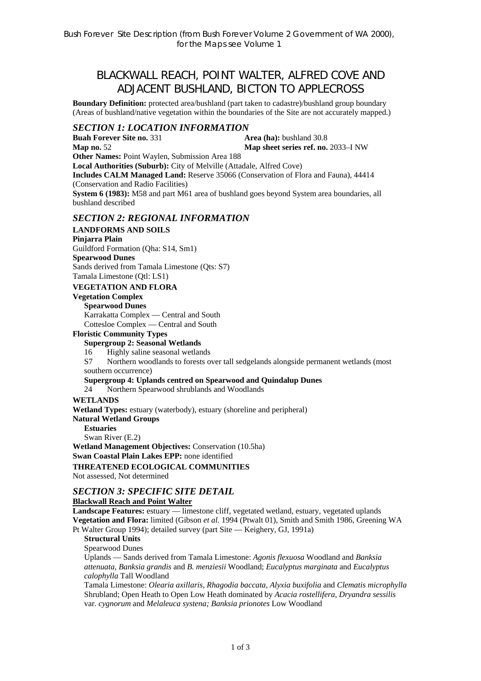# BLACKWALL REACH, POINT WALTER, ALFRED COVE AND ADJACENT BUSHLAND, BICTON TO APPLECROSS

**Boundary Definition:** protected area/bushland (part taken to cadastre)/bushland group boundary (Areas of bushland/native vegetation within the boundaries of the Site are not accurately mapped.)

# *SECTION 1: LOCATION INFORMATION*

**Buah Forever Site no. 331 <b>Area (ha):** bushland 30.8 **Map no.** 52 **Map sheet series ref. no.** 2033–I NW **Other Names:** Point Waylen, Submission Area 188 **Local Authorities (Suburb):** City of Melville (Attadale, Alfred Cove) **Includes CALM Managed Land:** Reserve 35066 (Conservation of Flora and Fauna), 44414 (Conservation and Radio Facilities) **System 6 (1983):** M58 and part M61 area of bushland goes beyond System area boundaries, all bushland described

## *SECTION 2: REGIONAL INFORMATION*

### **LANDFORMS AND SOILS**

#### **Pinjarra Plain**

Guildford Formation (Qha: S14, Sm1)

#### **Spearwood Dunes**

Sands derived from Tamala Limestone (Qts: S7)

Tamala Limestone (Qtl: LS1)

### **VEGETATION AND FLORA**

# **Vegetation Complex**

**Spearwood Dunes**  Karrakatta Complex — Central and South Cottesloe Complex — Central and South

#### **Floristic Community Types**

#### **Supergroup 2: Seasonal Wetlands**

16 Highly saline seasonal wetlands

S7 Northern woodlands to forests over tall sedgelands alongside permanent wetlands (most southern occurrence)

#### **Supergroup 4: Uplands centred on Spearwood and Quindalup Dunes**

24 Northern Spearwood shrublands and Woodlands

#### **WETLANDS**

**Wetland Types:** estuary (waterbody), estuary (shoreline and peripheral)

**Natural Wetland Groups**

**Estuaries** 

Swan River (E.2) **Wetland Management Objectives:** Conservation (10.5ha) **Swan Coastal Plain Lakes EPP:** none identified **THREATENED ECOLOGICAL COMMUNITIES**  Not assessed, Not determined

## *SECTION 3: SPECIFIC SITE DETAIL*

#### **Blackwall Reach and Point Walter**

**Landscape Features:** estuary — limestone cliff, vegetated wetland, estuary, vegetated uplands **Vegetation and Flora:** limited (Gibson *et al.* 1994 (Ptwalt 01), Smith and Smith 1986, Greening WA Pt Walter Group 1994); detailed survey (part Site — Keighery, GJ, 1991a)

**Structural Units** 

Spearwood Dunes

Uplands — Sands derived from Tamala Limestone: *Agonis flexuosa* Woodland and *Banksia attenuata, Banksia grandis* and *B. menziesii* Woodland; *Eucalyptus marginata* and *Eucalyptus calophylla* Tall Woodland

Tamala Limestone: *Olearia axillaris, Rhagodia baccata, Alyxia buxifolia* and *Clematis microphylla*  Shrubland; Open Heath to Open Low Heath dominated by *Acacia rostellifera*, *Dryandra sessilis*  var. *cygnorum* and *Melaleuca systena; Banksia prionotes* Low Woodland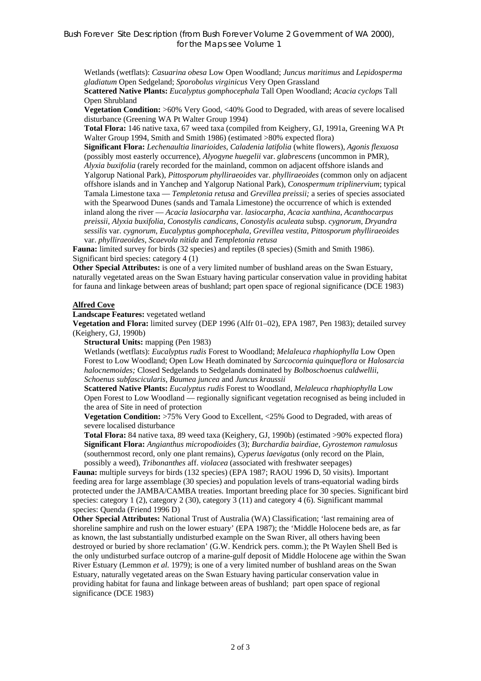Wetlands (wetflats): *Casuarina obesa* Low Open Woodland; *Juncus maritimus* and *Lepidosperma gladiatum* Open Sedgeland; *Sporobolus virginicus* Very Open Grassland

**Scattered Native Plants:** *Eucalyptus gomphocephala* Tall Open Woodland; *Acacia cyclops* Tall Open Shrubland

**Vegetation Condition:** >60% Very Good, <40% Good to Degraded, with areas of severe localised disturbance (Greening WA Pt Walter Group 1994)

**Total Flora:** 146 native taxa, 67 weed taxa (compiled from Keighery, GJ, 1991a, Greening WA Pt Walter Group 1994, Smith and Smith 1986) (estimated >80% expected flora)

**Significant Flora:** *Lechenaultia linarioides*, *Caladenia latifolia* (white flowers), *Agonis flexuosa*  (possibly most easterly occurrence), *Alyogyne huegelii* var. *glabrescens* (uncommon in PMR), *Alyxia buxifolia* (rarely recorded for the mainland, common on adjacent offshore islands and Yalgorup National Park), *Pittosporum phylliraeoides* var. *phylliraeoides* (common only on adjacent offshore islands and in Yanchep and Yalgorup National Park), *Conospermum triplinervium*; typical Tamala Limestone taxa — *Templetonia retusa* and *Grevillea preissii;* a series of species associated with the Spearwood Dunes (sands and Tamala Limestone) the occurrence of which is extended inland along the river — *Acacia lasiocarpha* var. *lasiocarpha*, *Acacia xanthina*, *Acanthocarpus preissii*, *Alyxia buxifolia*, *Conostylis candicans*, *Conostylis aculeata* subsp. *cygnorum, Dryandra sessilis* var. *cygnorum*, *Eucalyptus gomphocephala*, *Grevillea vestita*, *Pittosporum phylliraeoides* var. *phylliraeoides*, *Scaevola nitida* and *Templetonia retusa*

**Fauna:** limited survey for birds (32 species) and reptiles (8 species) (Smith and Smith 1986). Significant bird species: category 4 (1)

**Other Special Attributes:** is one of a very limited number of bushland areas on the Swan Estuary, naturally vegetated areas on the Swan Estuary having particular conservation value in providing habitat for fauna and linkage between areas of bushland; part open space of regional significance (DCE 1983)

#### **Alfred Cove**

**Landscape Features:** vegetated wetland

**Vegetation and Flora:** limited survey (DEP 1996 (Alfr 01–02), EPA 1987, Pen 1983); detailed survey (Keighery, GJ, 1990b)

**Structural Units:** mapping (Pen 1983)

Wetlands (wetflats): *Eucalyptus rudis* Forest to Woodland; *Melaleuca rhaphiophylla* Low Open Forest to Low Woodland; Open Low Heath dominated by *Sarcocornia quinqueflora* or *Halosarcia halocnemoides;* Closed Sedgelands to Sedgelands dominated by *Bolboschoenus caldwellii*, *Schoenus subfascicularis*, *Baumea juncea* and *Juncus kraussii*

**Scattered Native Plants:** *Eucalyptus rudis* Forest to Woodland, *Melaleuca rhaphiophylla* Low Open Forest to Low Woodland — regionally significant vegetation recognised as being included in the area of Site in need of protection

**Vegetation Condition:** >75% Very Good to Excellent, <25% Good to Degraded, with areas of severe localised disturbance

**Total Flora:** 84 native taxa, 89 weed taxa (Keighery, GJ, 1990b) (estimated >90% expected flora) **Significant Flora:** *Angianthus micropodioides* (3); *Burchardia bairdiae*, *Gyrostemon ramulosus* (southernmost record, only one plant remains), *Cyperus laevigatus* (only record on the Plain, possibly a weed), *Tribonanthes* aff. *violacea* (associated with freshwater seepages)

**Fauna:** multiple surveys for birds (132 species) (EPA 1987; RAOU 1996 D, 50 visits). Important feeding area for large assemblage (30 species) and population levels of trans-equatorial wading birds protected under the JAMBA/CAMBA treaties. Important breeding place for 30 species. Significant bird species: category 1 (2), category 2 (30), category  $\overline{3}$  (11) and category 4 (6). Significant mammal species: Quenda (Friend 1996 D)

**Other Special Attributes:** National Trust of Australia (WA) Classification; 'last remaining area of shoreline samphire and rush on the lower estuary' (EPA 1987); the 'Middle Holocene beds are, as far as known, the last substantially undisturbed example on the Swan River, all others having been destroyed or buried by shore reclamation' (G.W. Kendrick pers. comm.); the Pt Waylen Shell Bed is the only undisturbed surface outcrop of a marine-gulf deposit of Middle Holocene age within the Swan River Estuary (Lemmon *et al.* 1979); is one of a very limited number of bushland areas on the Swan Estuary, naturally vegetated areas on the Swan Estuary having particular conservation value in providing habitat for fauna and linkage between areas of bushland; part open space of regional significance (DCE 1983)